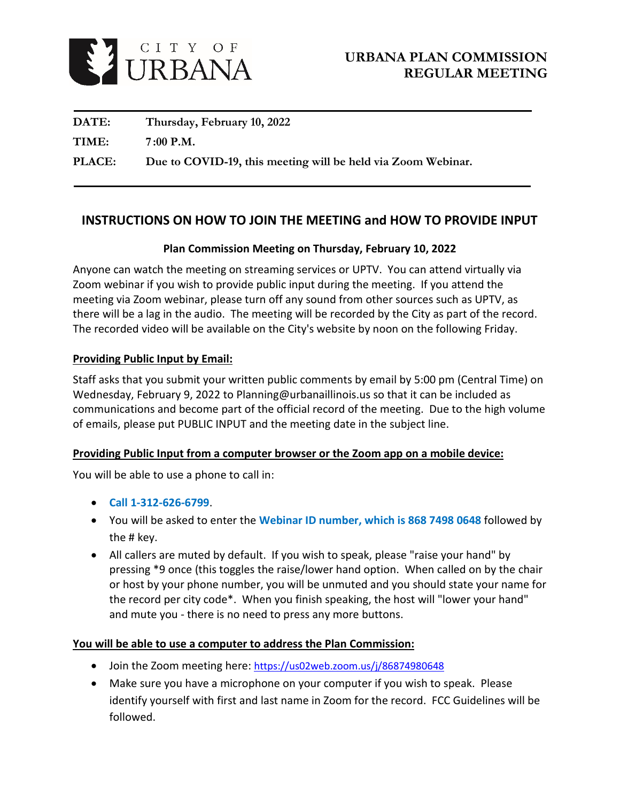

| DATE:         | Thursday, February 10, 2022                                  |
|---------------|--------------------------------------------------------------|
| TIME:         | $7:00$ P.M.                                                  |
| <b>PLACE:</b> | Due to COVID-19, this meeting will be held via Zoom Webinar. |

# **INSTRUCTIONS ON HOW TO JOIN THE MEETING and HOW TO PROVIDE INPUT**

# **Plan Commission Meeting on Thursday, February 10, 2022**

Anyone can watch the meeting on streaming services or UPTV. You can attend virtually via Zoom webinar if you wish to provide public input during the meeting. If you attend the meeting via Zoom webinar, please turn off any sound from other sources such as UPTV, as there will be a lag in the audio. The meeting will be recorded by the City as part of the record. The recorded video will be available on the City's website by noon on the following Friday.

# **Providing Public Input by Email:**

Staff asks that you submit your written public comments by email by 5:00 pm (Central Time) on Wednesday, February 9, 2022 to Planning@urbanaillinois.us so that it can be included as communications and become part of the official record of the meeting. Due to the high volume of emails, please put PUBLIC INPUT and the meeting date in the subject line.

#### **Providing Public Input from a computer browser or the Zoom app on a mobile device:**

You will be able to use a phone to call in:

- **Call 1-312-626-6799**.
- You will be asked to enter the **Webinar ID number, which is 868 7498 0648** followed by the # key.
- All callers are muted by default. If you wish to speak, please "raise your hand" by pressing \*9 once (this toggles the raise/lower hand option. When called on by the chair or host by your phone number, you will be unmuted and you should state your name for the record per city code\*. When you finish speaking, the host will "lower your hand" and mute you - there is no need to press any more buttons.

#### **You will be able to use a computer to address the Plan Commission:**

- Join the Zoom meeting here:<https://us02web.zoom.us/j/86874980648>
- Make sure you have a microphone on your computer if you wish to speak. Please identify yourself with first and last name in Zoom for the record. FCC Guidelines will be followed.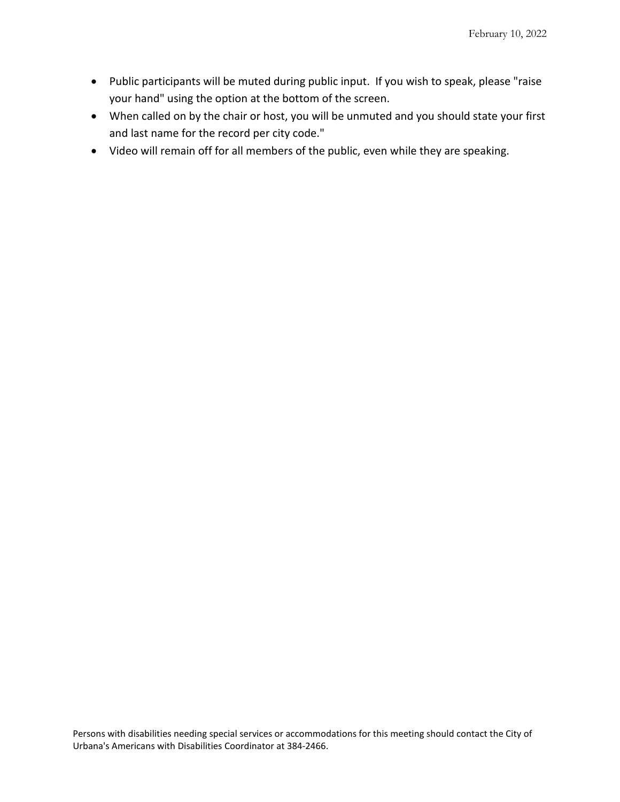- Public participants will be muted during public input. If you wish to speak, please "raise your hand" using the option at the bottom of the screen.
- When called on by the chair or host, you will be unmuted and you should state your first and last name for the record per city code."
- Video will remain off for all members of the public, even while they are speaking.

Persons with disabilities needing special services or accommodations for this meeting should contact the City of Urbana's Americans with Disabilities Coordinator at 384-2466.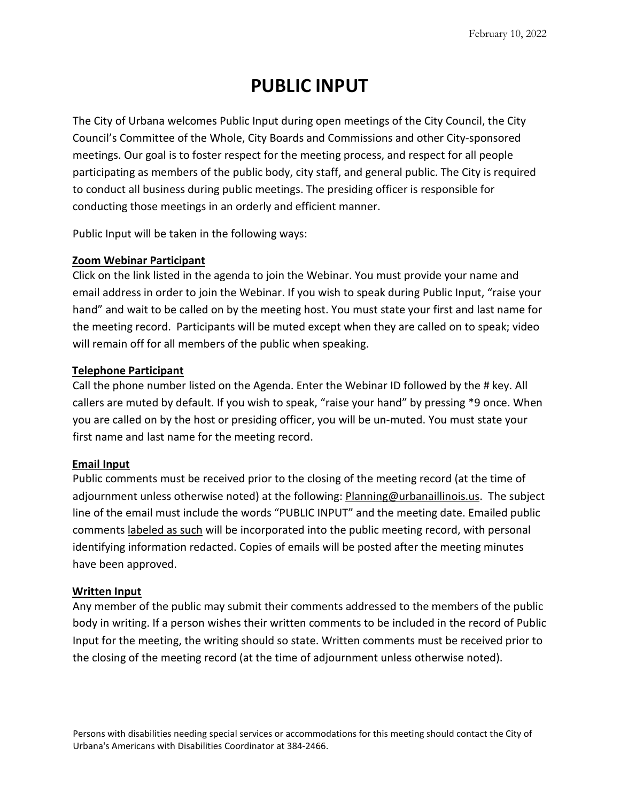# **PUBLIC INPUT**

The City of Urbana welcomes Public Input during open meetings of the City Council, the City Council's Committee of the Whole, City Boards and Commissions and other City-sponsored meetings. Our goal is to foster respect for the meeting process, and respect for all people participating as members of the public body, city staff, and general public. The City is required to conduct all business during public meetings. The presiding officer is responsible for conducting those meetings in an orderly and efficient manner.

Public Input will be taken in the following ways:

#### **Zoom Webinar Participant**

Click on the link listed in the agenda to join the Webinar. You must provide your name and email address in order to join the Webinar. If you wish to speak during Public Input, "raise your hand" and wait to be called on by the meeting host. You must state your first and last name for the meeting record. Participants will be muted except when they are called on to speak; video will remain off for all members of the public when speaking.

# **Telephone Participant**

Call the phone number listed on the Agenda. Enter the Webinar ID followed by the # key. All callers are muted by default. If you wish to speak, "raise your hand" by pressing \*9 once. When you are called on by the host or presiding officer, you will be un-muted. You must state your first name and last name for the meeting record.

#### **Email Input**

Public comments must be received prior to the closing of the meeting record (at the time of adjournment unless otherwise noted) at the following: Planning@urbanaillinois.us. The subject line of the email must include the words "PUBLIC INPUT" and the meeting date. Emailed public comments labeled as such will be incorporated into the public meeting record, with personal identifying information redacted. Copies of emails will be posted after the meeting minutes have been approved.

#### **Written Input**

Any member of the public may submit their comments addressed to the members of the public body in writing. If a person wishes their written comments to be included in the record of Public Input for the meeting, the writing should so state. Written comments must be received prior to the closing of the meeting record (at the time of adjournment unless otherwise noted).